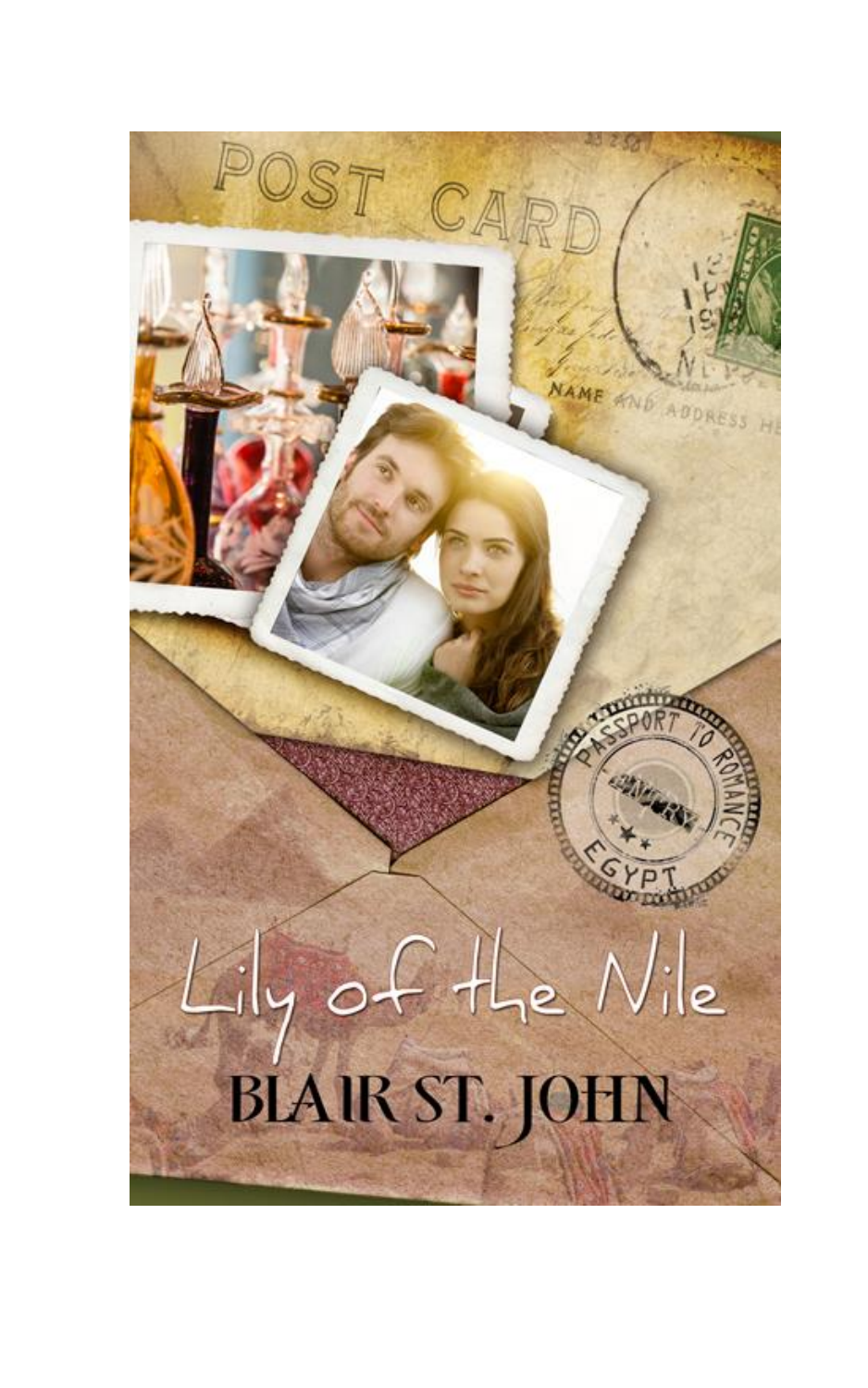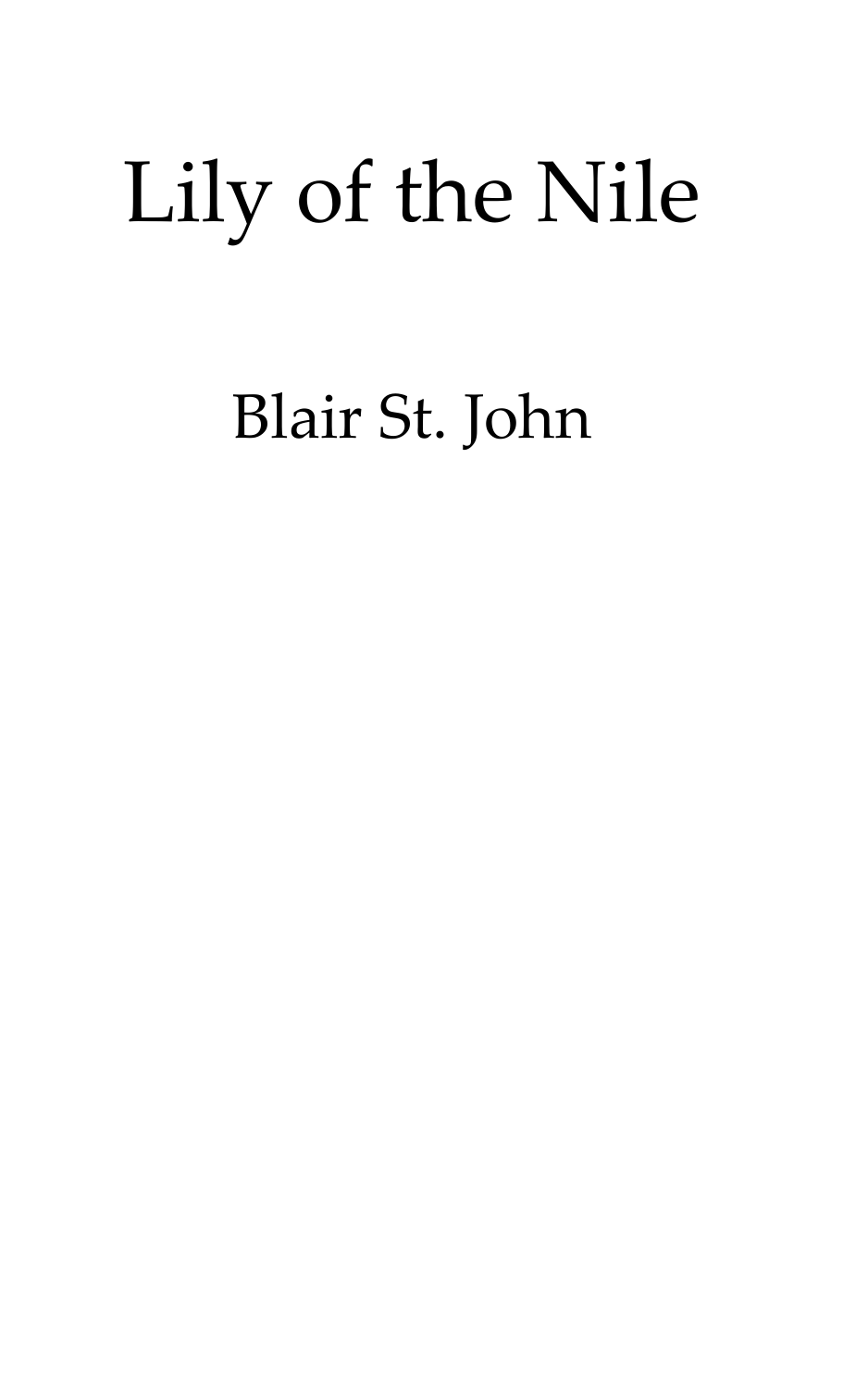# Lily of the Nile

Blair St. John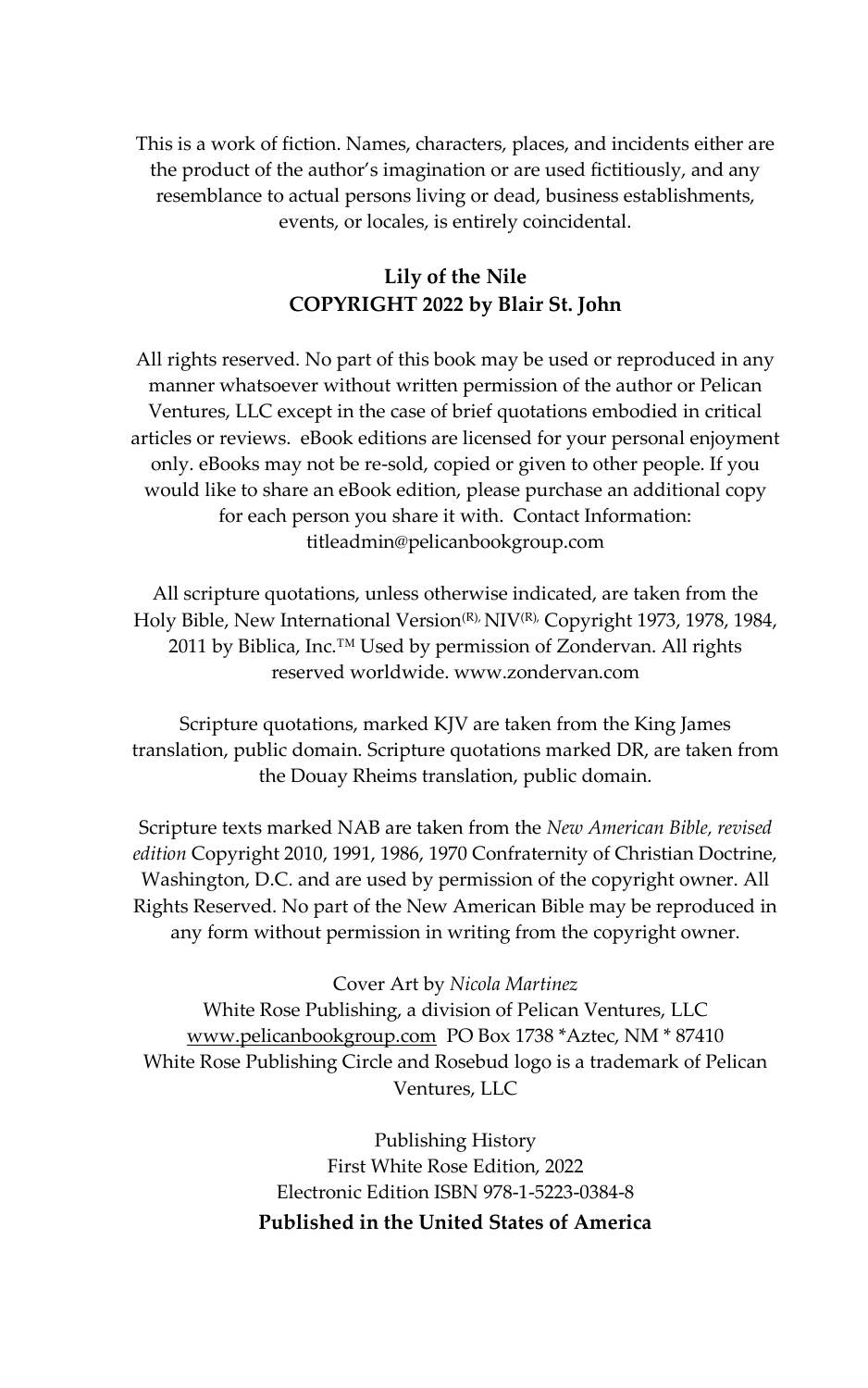This is a work of fiction. Names, characters, places, and incidents either are the product of the author's imagination or are used fictitiously, and any resemblance to actual persons living or dead, business establishments, events, or locales, is entirely coincidental.

#### **Lily of the Nile COPYRIGHT 2022 by Blair St. John**

All rights reserved. No part of this book may be used or reproduced in any manner whatsoever without written permission of the author or Pelican Ventures, LLC except in the case of brief quotations embodied in critical articles or reviews. eBook editions are licensed for your personal enjoyment only. eBooks may not be re-sold, copied or given to other people. If you would like to share an eBook edition, please purchase an additional copy for each person you share it with. Contact Information: titleadmin@pelicanbookgroup.com

All scripture quotations, unless otherwise indicated, are taken from the Holy Bible, New International Version<sup>(R),</sup> NIV(R), Copyright 1973, 1978, 1984, 2011 by Biblica, Inc.<sup>™</sup> Used by permission of Zondervan. All rights reserved worldwide. www.zondervan.com

Scripture quotations, marked KJV are taken from the King James translation, public domain. Scripture quotations marked DR, are taken from the Douay Rheims translation, public domain.

Scripture texts marked NAB are taken from the *New American Bible, revised edition* Copyright 2010, 1991, 1986, 1970 Confraternity of Christian Doctrine, Washington, D.C. and are used by permission of the copyright owner. All Rights Reserved. No part of the New American Bible may be reproduced in any form without permission in writing from the copyright owner.

#### Cover Art by *Nicola Martinez*

White Rose Publishing, a division of Pelican Ventures, LLC [www.pelicanbookgroup.com](http://www.pelicanbookgroup.com/) PO Box 1738 \*Aztec, NM \* 87410 White Rose Publishing Circle and Rosebud logo is a trademark of Pelican Ventures, LLC

> Publishing History First White Rose Edition, 2022 Electronic Edition ISBN 978-1-5223-0384-8 **Published in the United States of America**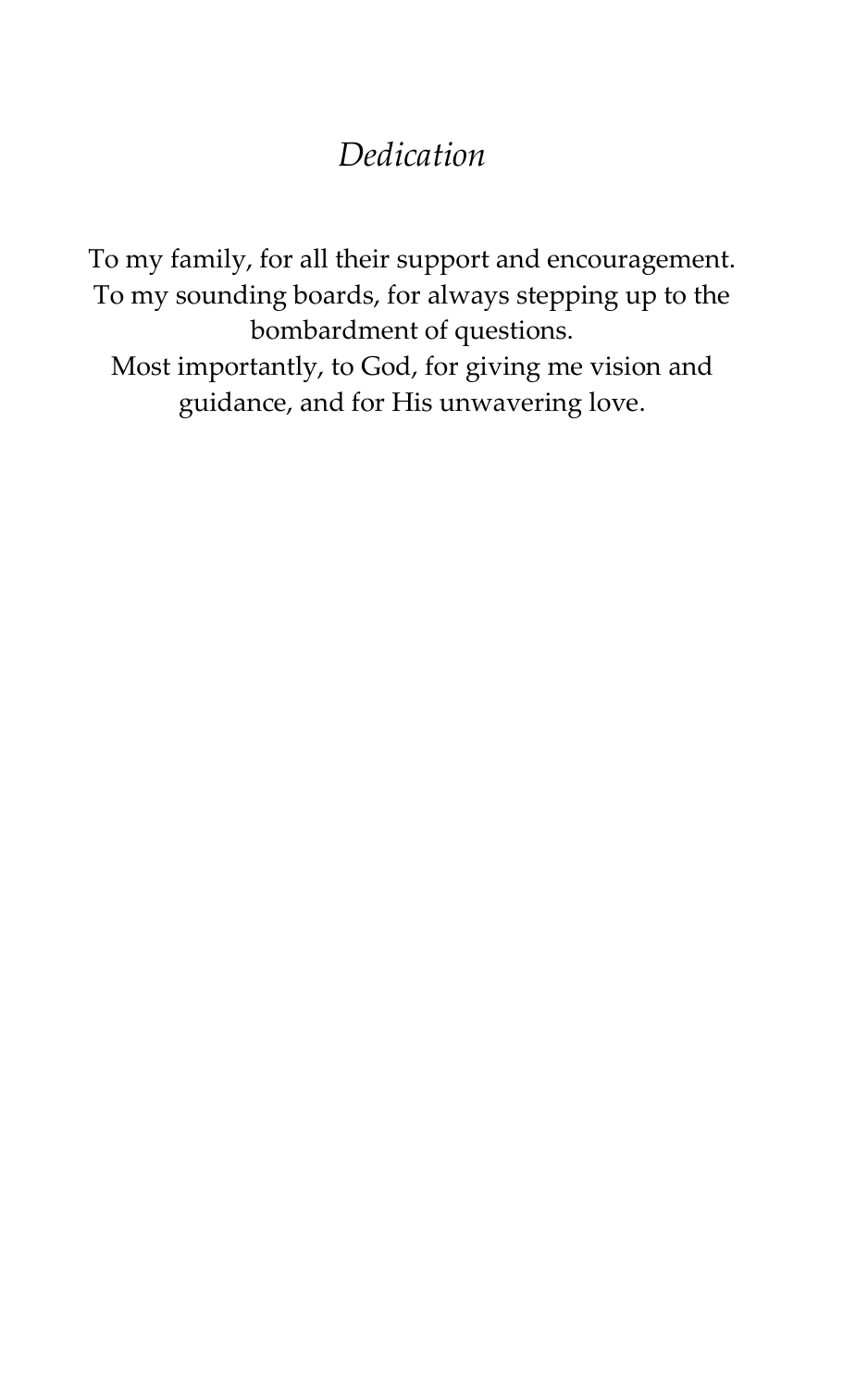### *Dedication*

To my family, for all their support and encouragement. To my sounding boards, for always stepping up to the bombardment of questions. Most importantly, to God, for giving me vision and guidance, and for His unwavering love.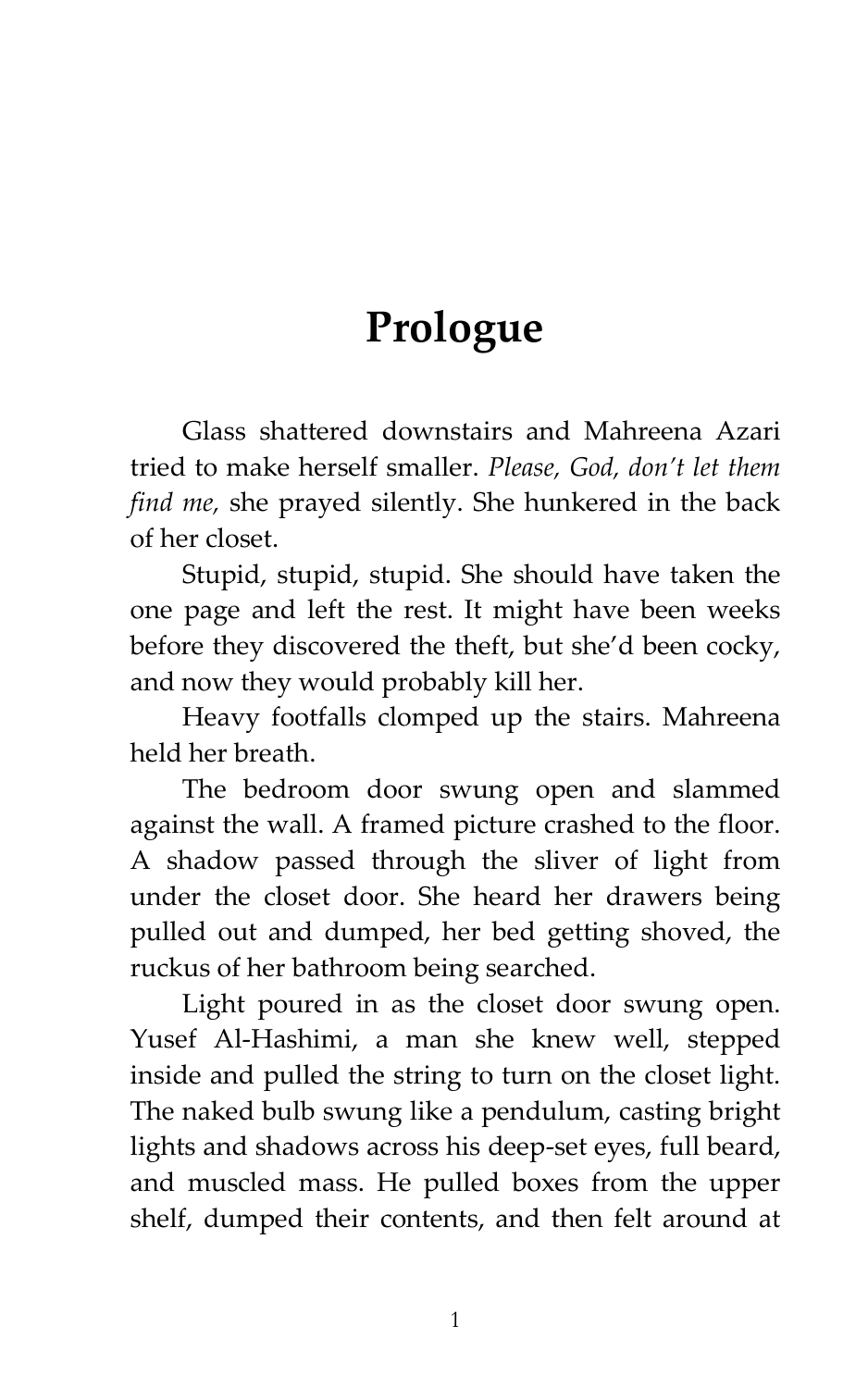## **Prologue**

Glass shattered downstairs and Mahreena Azari tried to make herself smaller. *Please, God, don't let them find me,* she prayed silently. She hunkered in the back of her closet.

Stupid, stupid, stupid. She should have taken the one page and left the rest. It might have been weeks before they discovered the theft, but she'd been cocky, and now they would probably kill her.

Heavy footfalls clomped up the stairs. Mahreena held her breath.

The bedroom door swung open and slammed against the wall. A framed picture crashed to the floor. A shadow passed through the sliver of light from under the closet door. She heard her drawers being pulled out and dumped, her bed getting shoved, the ruckus of her bathroom being searched.

Light poured in as the closet door swung open. Yusef Al-Hashimi, a man she knew well, stepped inside and pulled the string to turn on the closet light. The naked bulb swung like a pendulum, casting bright lights and shadows across his deep-set eyes, full beard, and muscled mass. He pulled boxes from the upper shelf, dumped their contents, and then felt around at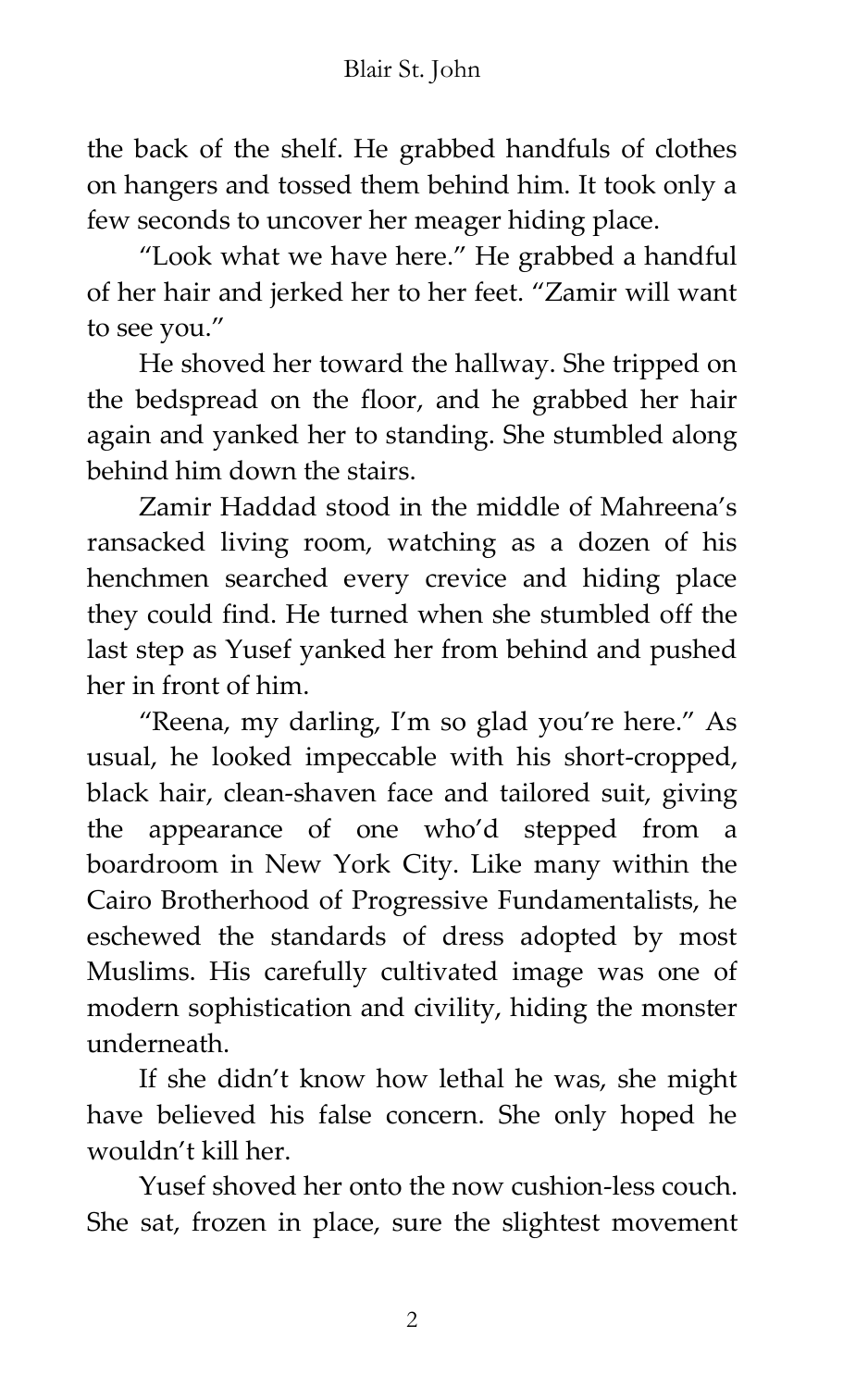the back of the shelf. He grabbed handfuls of clothes on hangers and tossed them behind him. It took only a few seconds to uncover her meager hiding place.

'Look what we have here.' He grabbed a handful of her hair and jerked her to her feet. 'Zamir will want to see you.'

He shoved her toward the hallway. She tripped on the bedspread on the floor, and he grabbed her hair again and yanked her to standing. She stumbled along behind him down the stairs.

Zamir Haddad stood in the middle of Mahreena's ransacked living room, watching as a dozen of his henchmen searched every crevice and hiding place they could find. He turned when she stumbled off the last step as Yusef yanked her from behind and pushed her in front of him.

'Reena, my darling, I'm so glad you're here.' As usual, he looked impeccable with his short-cropped, black hair, clean-shaven face and tailored suit, giving the appearance of one who'd stepped from a boardroom in New York City. Like many within the Cairo Brotherhood of Progressive Fundamentalists, he eschewed the standards of dress adopted by most Muslims. His carefully cultivated image was one of modern sophistication and civility, hiding the monster underneath.

If she didn't know how lethal he was, she might have believed his false concern. She only hoped he wouldn't kill her.

Yusef shoved her onto the now cushion-less couch. She sat, frozen in place, sure the slightest movement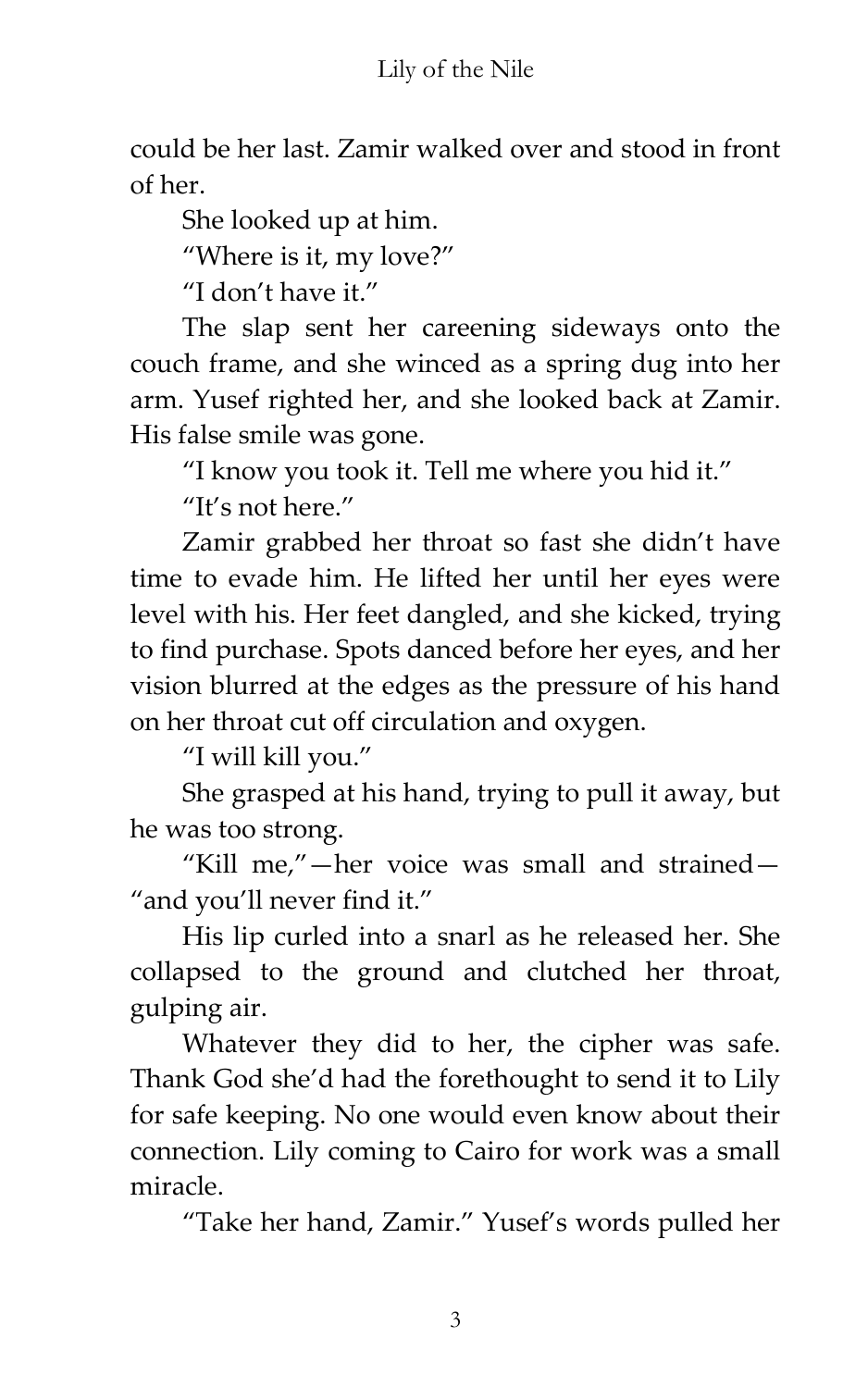could be her last. Zamir walked over and stood in front of her.

She looked up at him.

'Where is it, my love?'

'I don't have it.'

The slap sent her careening sideways onto the couch frame, and she winced as a spring dug into her arm. Yusef righted her, and she looked back at Zamir. His false smile was gone.

'I know you took it. Tell me where you hid it.'

"It's not here."

Zamir grabbed her throat so fast she didn't have time to evade him. He lifted her until her eyes were level with his. Her feet dangled, and she kicked, trying to find purchase. Spots danced before her eyes, and her vision blurred at the edges as the pressure of his hand on her throat cut off circulation and oxygen.

'I will kill you.'

She grasped at his hand, trying to pull it away, but he was too strong.

"Kill me,"-her voice was small and strained-"and you'll never find it."

His lip curled into a snarl as he released her. She collapsed to the ground and clutched her throat, gulping air.

Whatever they did to her, the cipher was safe. Thank God she'd had the forethought to send it to Lily for safe keeping. No one would even know about their connection. Lily coming to Cairo for work was a small miracle.

'Take her hand, Zamir.' Yusef's words pulled her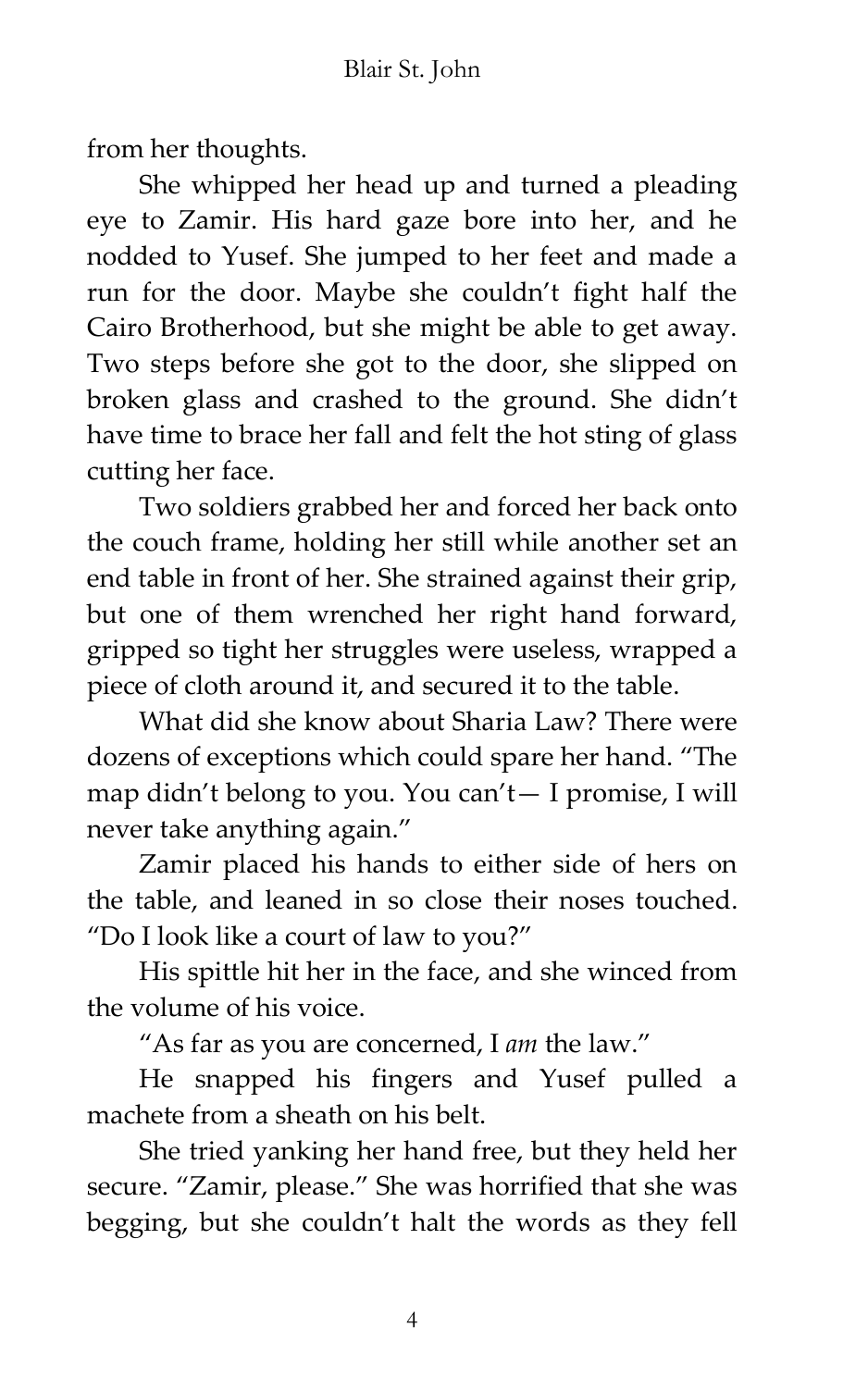from her thoughts.

She whipped her head up and turned a pleading eye to Zamir. His hard gaze bore into her, and he nodded to Yusef. She jumped to her feet and made a run for the door. Maybe she couldn't fight half the Cairo Brotherhood, but she might be able to get away. Two steps before she got to the door, she slipped on broken glass and crashed to the ground. She didn't have time to brace her fall and felt the hot sting of glass cutting her face.

Two soldiers grabbed her and forced her back onto the couch frame, holding her still while another set an end table in front of her. She strained against their grip, but one of them wrenched her right hand forward, gripped so tight her struggles were useless, wrapped a piece of cloth around it, and secured it to the table.

What did she know about Sharia Law? There were dozens of exceptions which could spare her hand. 'The map didn't belong to you. You can't— I promise, I will never take anything again.'

Zamir placed his hands to either side of hers on the table, and leaned in so close their noses touched. 'Do I look like a court of law to you?'

His spittle hit her in the face, and she winced from the volume of his voice.

'As far as you are concerned, I *am* the law.'

He snapped his fingers and Yusef pulled a machete from a sheath on his belt.

She tried yanking her hand free, but they held her secure. 'Zamir, please.' She was horrified that she was begging, but she couldn't halt the words as they fell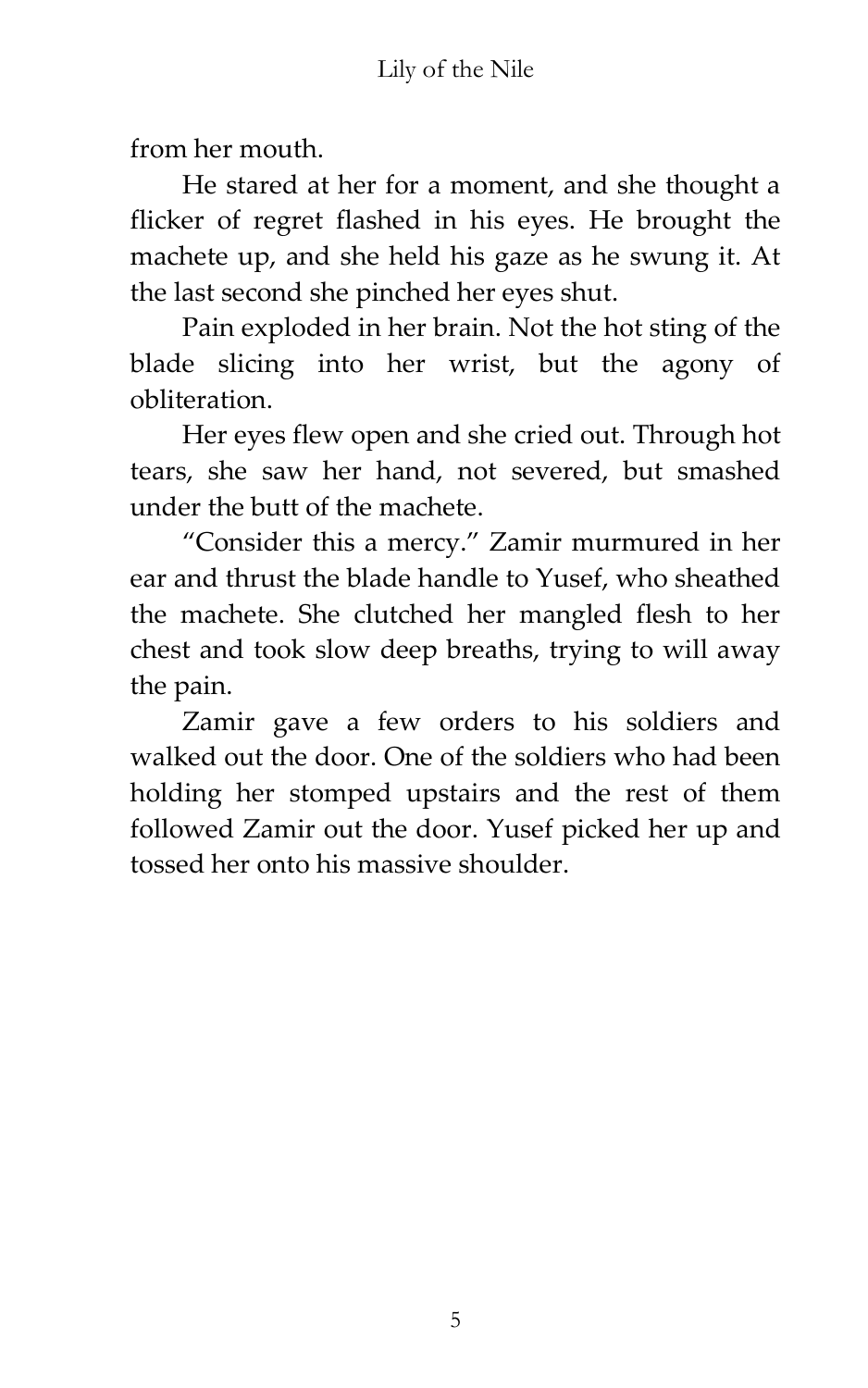from her mouth.

He stared at her for a moment, and she thought a flicker of regret flashed in his eyes. He brought the machete up, and she held his gaze as he swung it. At the last second she pinched her eyes shut.

Pain exploded in her brain. Not the hot sting of the blade slicing into her wrist, but the agony of obliteration.

Her eyes flew open and she cried out. Through hot tears, she saw her hand, not severed, but smashed under the butt of the machete.

'Consider this a mercy.' Zamir murmured in her ear and thrust the blade handle to Yusef, who sheathed the machete. She clutched her mangled flesh to her chest and took slow deep breaths, trying to will away the pain.

Zamir gave a few orders to his soldiers and walked out the door. One of the soldiers who had been holding her stomped upstairs and the rest of them followed Zamir out the door. Yusef picked her up and tossed her onto his massive shoulder.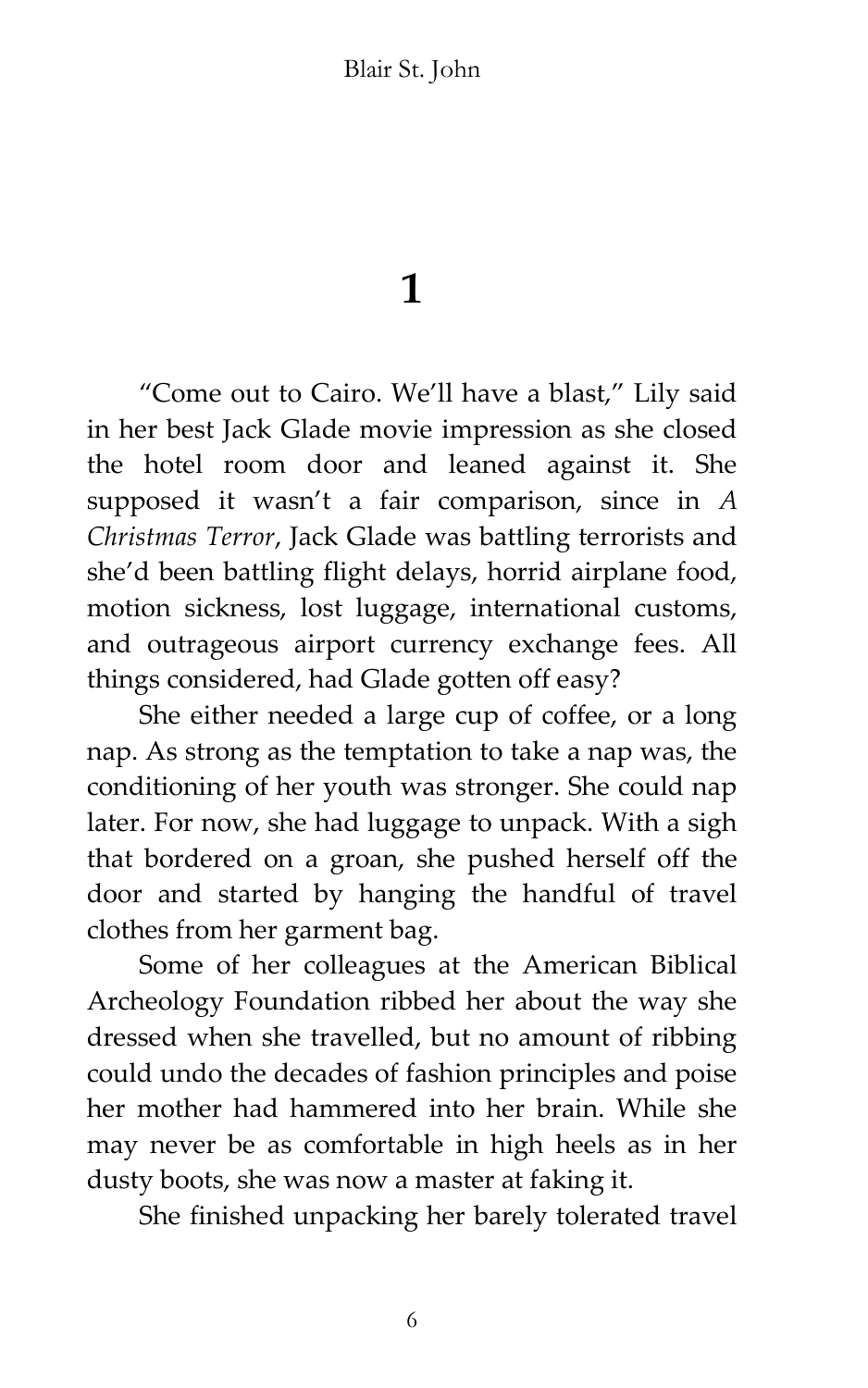**1**

'Come out to Cairo. We'll have a blast,' Lily said in her best Jack Glade movie impression as she closed the hotel room door and leaned against it. She supposed it wasn't a fair comparison, since in *A Christmas Terror*, Jack Glade was battling terrorists and she'd been battling flight delays, horrid airplane food, motion sickness, lost luggage, international customs, and outrageous airport currency exchange fees. All things considered, had Glade gotten off easy?

She either needed a large cup of coffee, or a long nap. As strong as the temptation to take a nap was, the conditioning of her youth was stronger. She could nap later. For now, she had luggage to unpack. With a sigh that bordered on a groan, she pushed herself off the door and started by hanging the handful of travel clothes from her garment bag.

Some of her colleagues at the American Biblical Archeology Foundation ribbed her about the way she dressed when she travelled, but no amount of ribbing could undo the decades of fashion principles and poise her mother had hammered into her brain. While she may never be as comfortable in high heels as in her dusty boots, she was now a master at faking it.

She finished unpacking her barely tolerated travel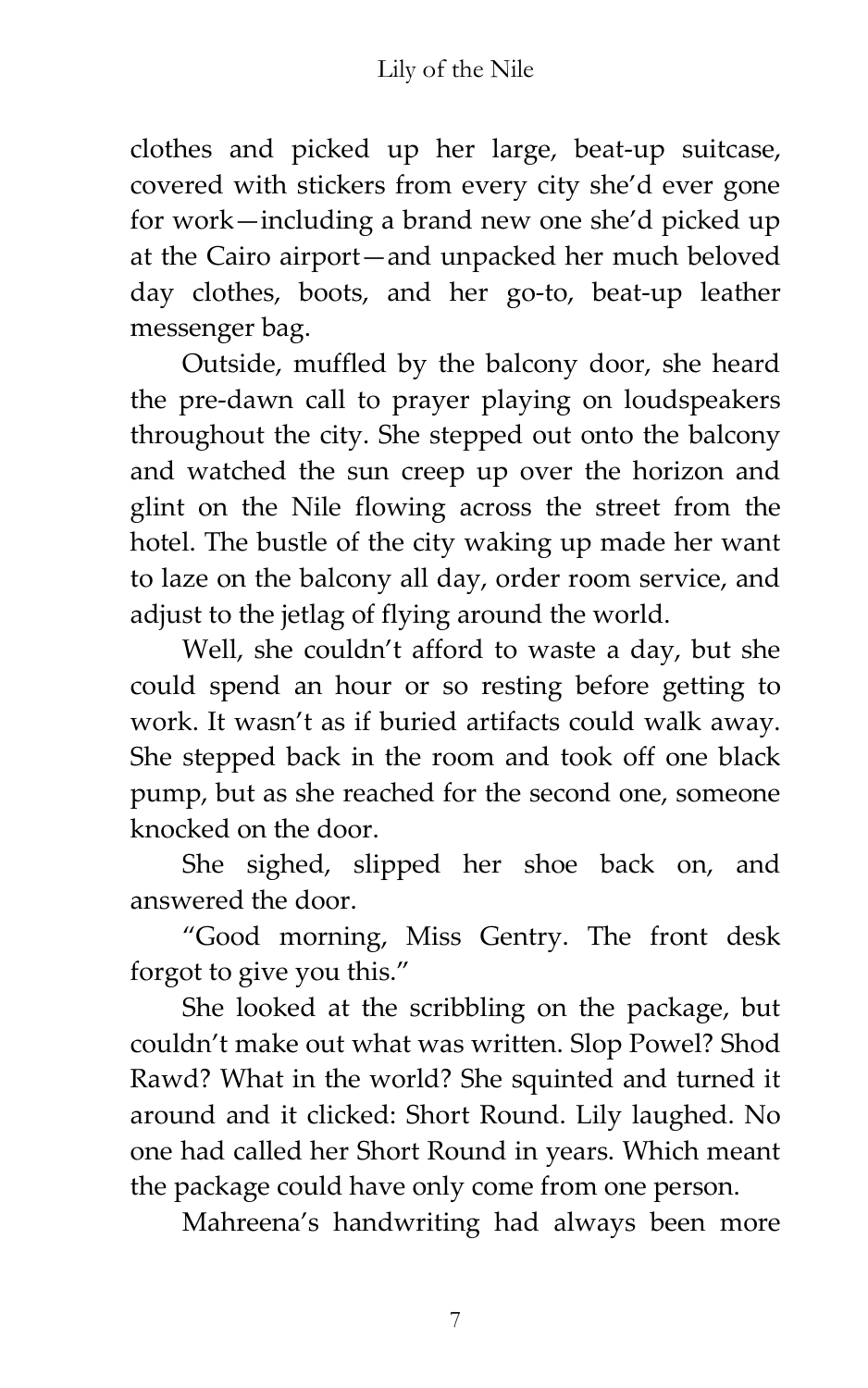clothes and picked up her large, beat-up suitcase, covered with stickers from every city she'd ever gone for work—including a brand new one she'd picked up at the Cairo airport—and unpacked her much beloved day clothes, boots, and her go-to, beat-up leather messenger bag.

Outside, muffled by the balcony door, she heard the pre-dawn call to prayer playing on loudspeakers throughout the city. She stepped out onto the balcony and watched the sun creep up over the horizon and glint on the Nile flowing across the street from the hotel. The bustle of the city waking up made her want to laze on the balcony all day, order room service, and adjust to the jetlag of flying around the world.

Well, she couldn't afford to waste a day, but she could spend an hour or so resting before getting to work. It wasn't as if buried artifacts could walk away. She stepped back in the room and took off one black pump, but as she reached for the second one, someone knocked on the door.

She sighed, slipped her shoe back on, and answered the door.

'Good morning, Miss Gentry. The front desk forgot to give you this.'

She looked at the scribbling on the package, but couldn't make out what was written. Slop Powel? Shod Rawd? What in the world? She squinted and turned it around and it clicked: Short Round. Lily laughed. No one had called her Short Round in years. Which meant the package could have only come from one person.

Mahreena's handwriting had always been more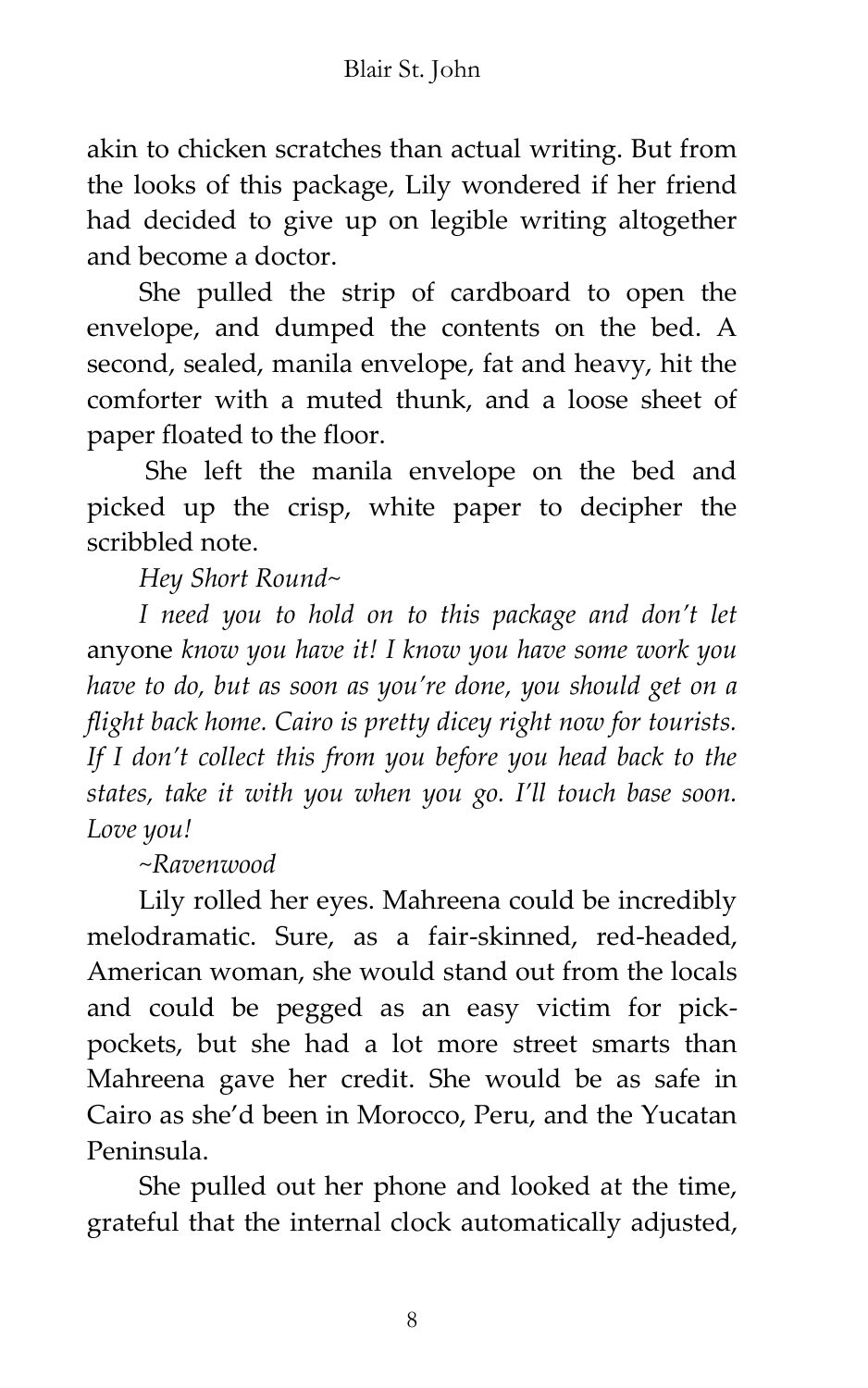akin to chicken scratches than actual writing. But from the looks of this package, Lily wondered if her friend had decided to give up on legible writing altogether and become a doctor.

She pulled the strip of cardboard to open the envelope, and dumped the contents on the bed. A second, sealed, manila envelope, fat and heavy, hit the comforter with a muted thunk, and a loose sheet of paper floated to the floor.

She left the manila envelope on the bed and picked up the crisp, white paper to decipher the scribbled note.

*Hey Short Round~* 

*I need you to hold on to this package and don't let* anyone *know you have it! I know you have some work you have to do, but as soon as you're done, you should get on a flight back home. Cairo is pretty dicey right now for tourists. If I don't collect this from you before you head back to the states, take it with you when you go. I'll touch base soon. Love you!*

*~Ravenwood*

Lily rolled her eyes. Mahreena could be incredibly melodramatic. Sure, as a fair-skinned, red-headed, American woman, she would stand out from the locals and could be pegged as an easy victim for pickpockets, but she had a lot more street smarts than Mahreena gave her credit. She would be as safe in Cairo as she'd been in Morocco, Peru, and the Yucatan Peninsula.

She pulled out her phone and looked at the time, grateful that the internal clock automatically adjusted,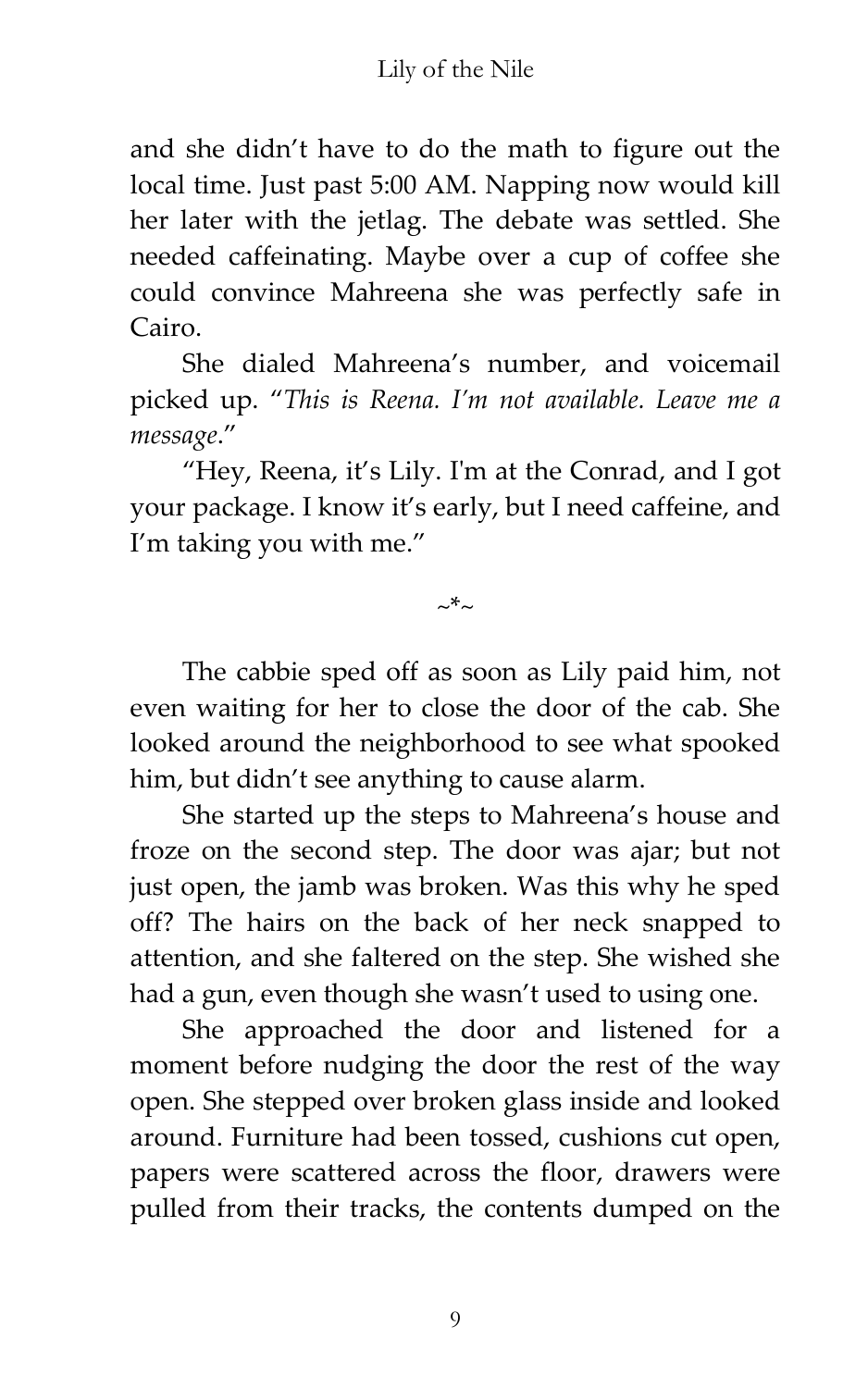and she didn't have to do the math to figure out the local time. Just past 5:00 AM. Napping now would kill her later with the jetlag. The debate was settled. She needed caffeinating. Maybe over a cup of coffee she could convince Mahreena she was perfectly safe in Cairo.

She dialed Mahreena's number, and voicemail picked up. '*This is Reena. I'm not available. Leave me a message*.'

'Hey, Reena, it's Lily. I'm at the Conrad, and I got your package. I know it's early, but I need caffeine, and I'm taking you with me.'

 $~\sim~$ \* $~\sim$ 

The cabbie sped off as soon as Lily paid him, not even waiting for her to close the door of the cab. She looked around the neighborhood to see what spooked him, but didn't see anything to cause alarm.

She started up the steps to Mahreena's house and froze on the second step. The door was ajar; but not just open, the jamb was broken. Was this why he sped off? The hairs on the back of her neck snapped to attention, and she faltered on the step. She wished she had a gun, even though she wasn't used to using one.

She approached the door and listened for a moment before nudging the door the rest of the way open. She stepped over broken glass inside and looked around. Furniture had been tossed, cushions cut open, papers were scattered across the floor, drawers were pulled from their tracks, the contents dumped on the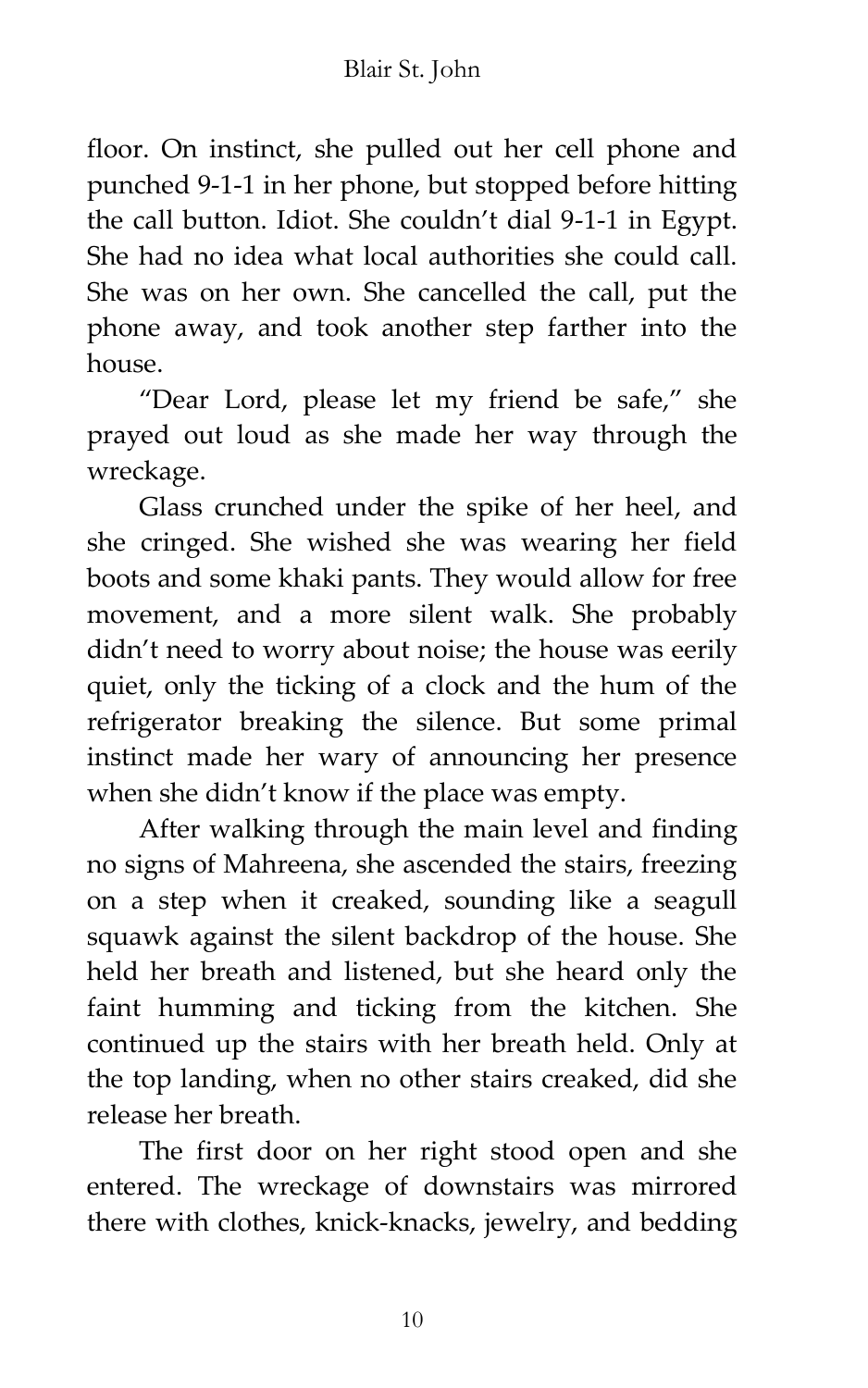floor. On instinct, she pulled out her cell phone and punched 9-1-1 in her phone, but stopped before hitting the call button. Idiot. She couldn't dial 9-1-1 in Egypt. She had no idea what local authorities she could call. She was on her own. She cancelled the call, put the phone away, and took another step farther into the house.

'Dear Lord, please let my friend be safe,' she prayed out loud as she made her way through the wreckage.

Glass crunched under the spike of her heel, and she cringed. She wished she was wearing her field boots and some khaki pants. They would allow for free movement, and a more silent walk. She probably didn't need to worry about noise; the house was eerily quiet, only the ticking of a clock and the hum of the refrigerator breaking the silence. But some primal instinct made her wary of announcing her presence when she didn't know if the place was empty.

After walking through the main level and finding no signs of Mahreena, she ascended the stairs, freezing on a step when it creaked, sounding like a seagull squawk against the silent backdrop of the house. She held her breath and listened, but she heard only the faint humming and ticking from the kitchen. She continued up the stairs with her breath held. Only at the top landing, when no other stairs creaked, did she release her breath.

The first door on her right stood open and she entered. The wreckage of downstairs was mirrored there with clothes, knick-knacks, jewelry, and bedding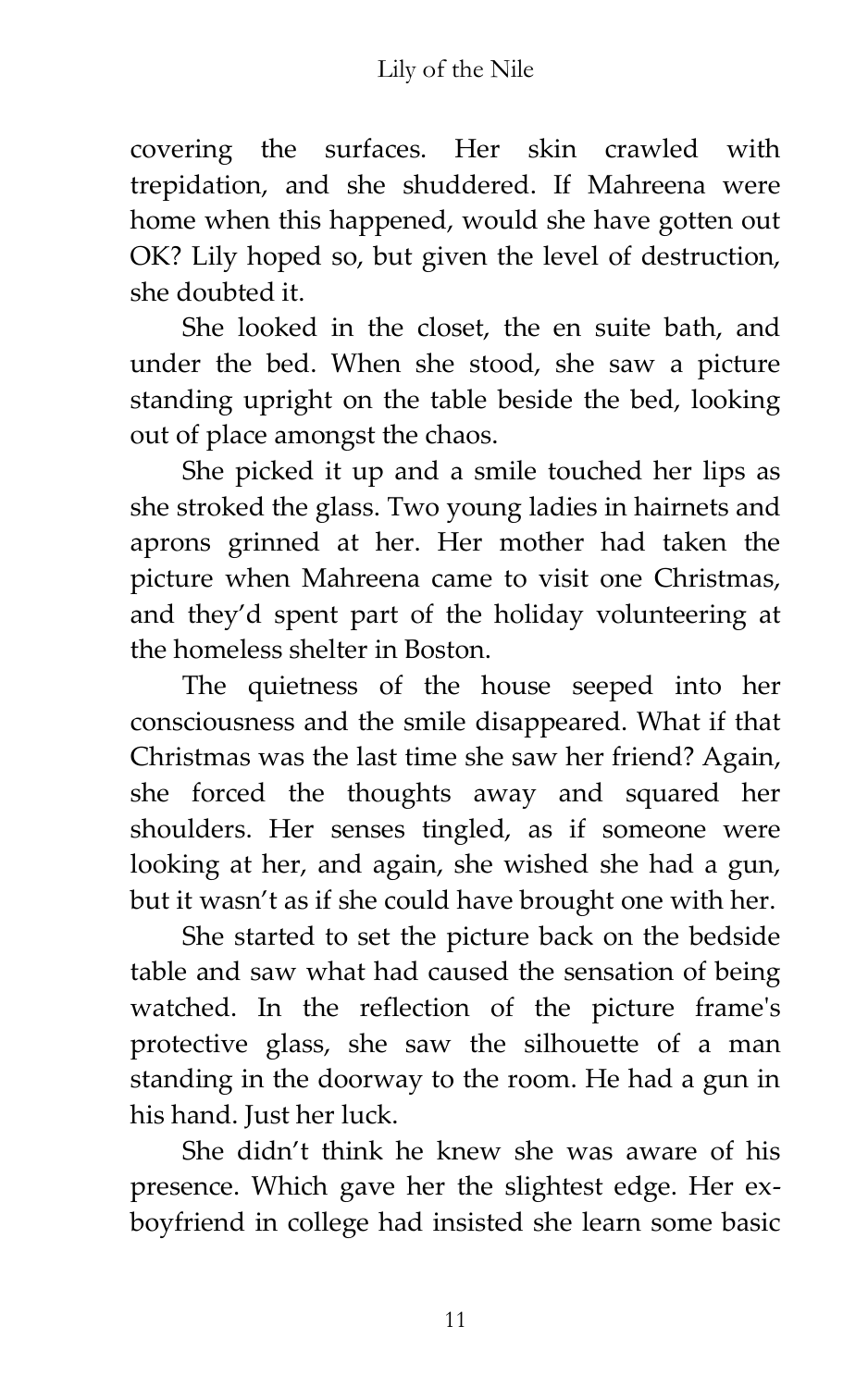covering the surfaces. Her skin crawled with trepidation, and she shuddered. If Mahreena were home when this happened, would she have gotten out OK? Lily hoped so, but given the level of destruction, she doubted it.

She looked in the closet, the en suite bath, and under the bed. When she stood, she saw a picture standing upright on the table beside the bed, looking out of place amongst the chaos.

She picked it up and a smile touched her lips as she stroked the glass. Two young ladies in hairnets and aprons grinned at her. Her mother had taken the picture when Mahreena came to visit one Christmas, and they'd spent part of the holiday volunteering at the homeless shelter in Boston.

The quietness of the house seeped into her consciousness and the smile disappeared. What if that Christmas was the last time she saw her friend? Again, she forced the thoughts away and squared her shoulders. Her senses tingled, as if someone were looking at her, and again, she wished she had a gun, but it wasn't as if she could have brought one with her.

She started to set the picture back on the bedside table and saw what had caused the sensation of being watched. In the reflection of the picture frame's protective glass, she saw the silhouette of a man standing in the doorway to the room. He had a gun in his hand. Just her luck.

She didn't think he knew she was aware of his presence. Which gave her the slightest edge. Her exboyfriend in college had insisted she learn some basic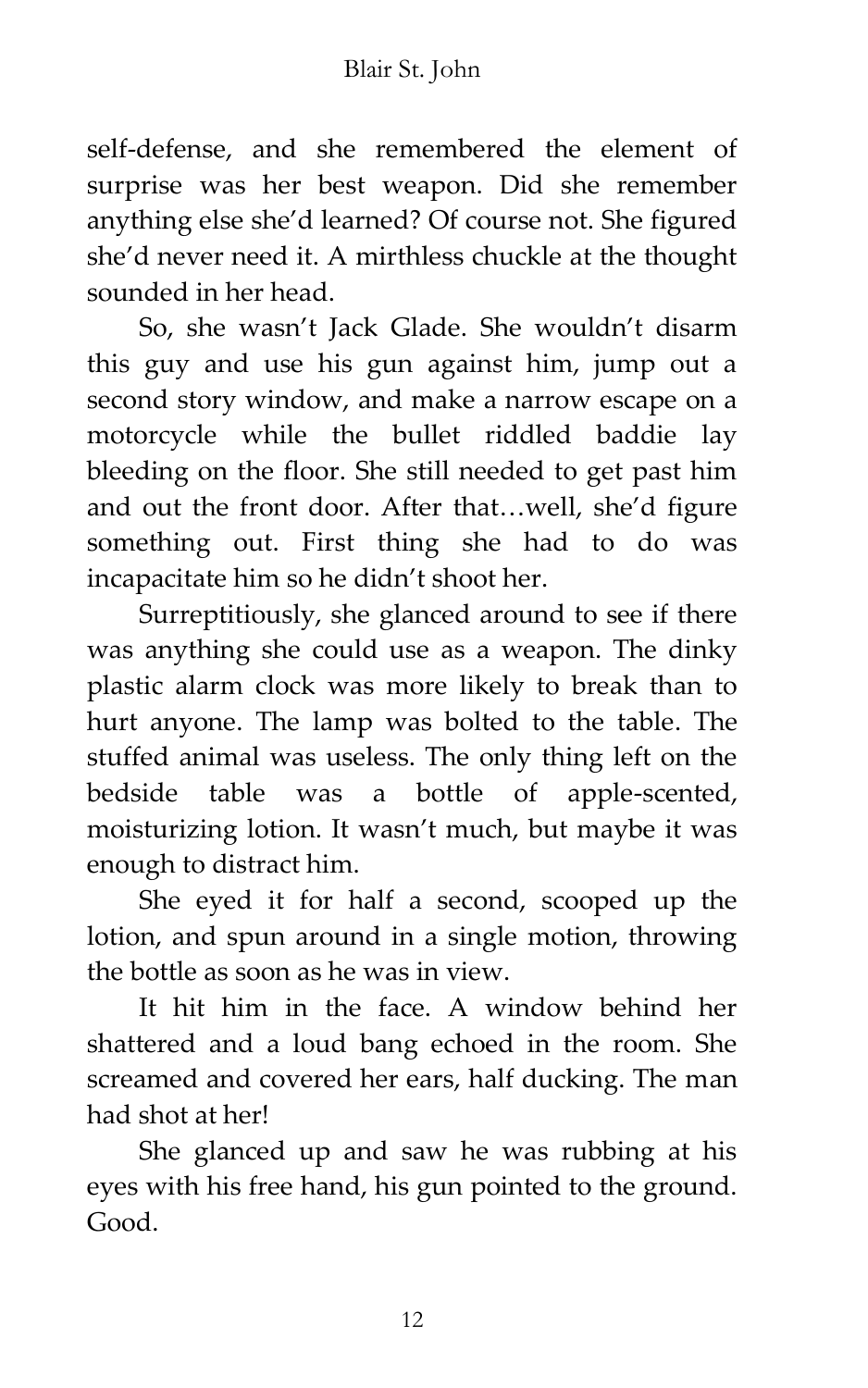self-defense, and she remembered the element of surprise was her best weapon. Did she remember anything else she'd learned? Of course not. She figured she'd never need it. A mirthless chuckle at the thought sounded in her head.

So, she wasn't Jack Glade. She wouldn't disarm this guy and use his gun against him, jump out a second story window, and make a narrow escape on a motorcycle while the bullet riddled baddie lay bleeding on the floor. She still needed to get past him and out the front door. After that...well, she'd figure something out. First thing she had to do was incapacitate him so he didn't shoot her.

Surreptitiously, she glanced around to see if there was anything she could use as a weapon. The dinky plastic alarm clock was more likely to break than to hurt anyone. The lamp was bolted to the table. The stuffed animal was useless. The only thing left on the bedside table was a bottle of apple-scented, moisturizing lotion. It wasn't much, but maybe it was enough to distract him.

She eyed it for half a second, scooped up the lotion, and spun around in a single motion, throwing the bottle as soon as he was in view.

It hit him in the face. A window behind her shattered and a loud bang echoed in the room. She screamed and covered her ears, half ducking. The man had shot at her!

She glanced up and saw he was rubbing at his eyes with his free hand, his gun pointed to the ground. Good.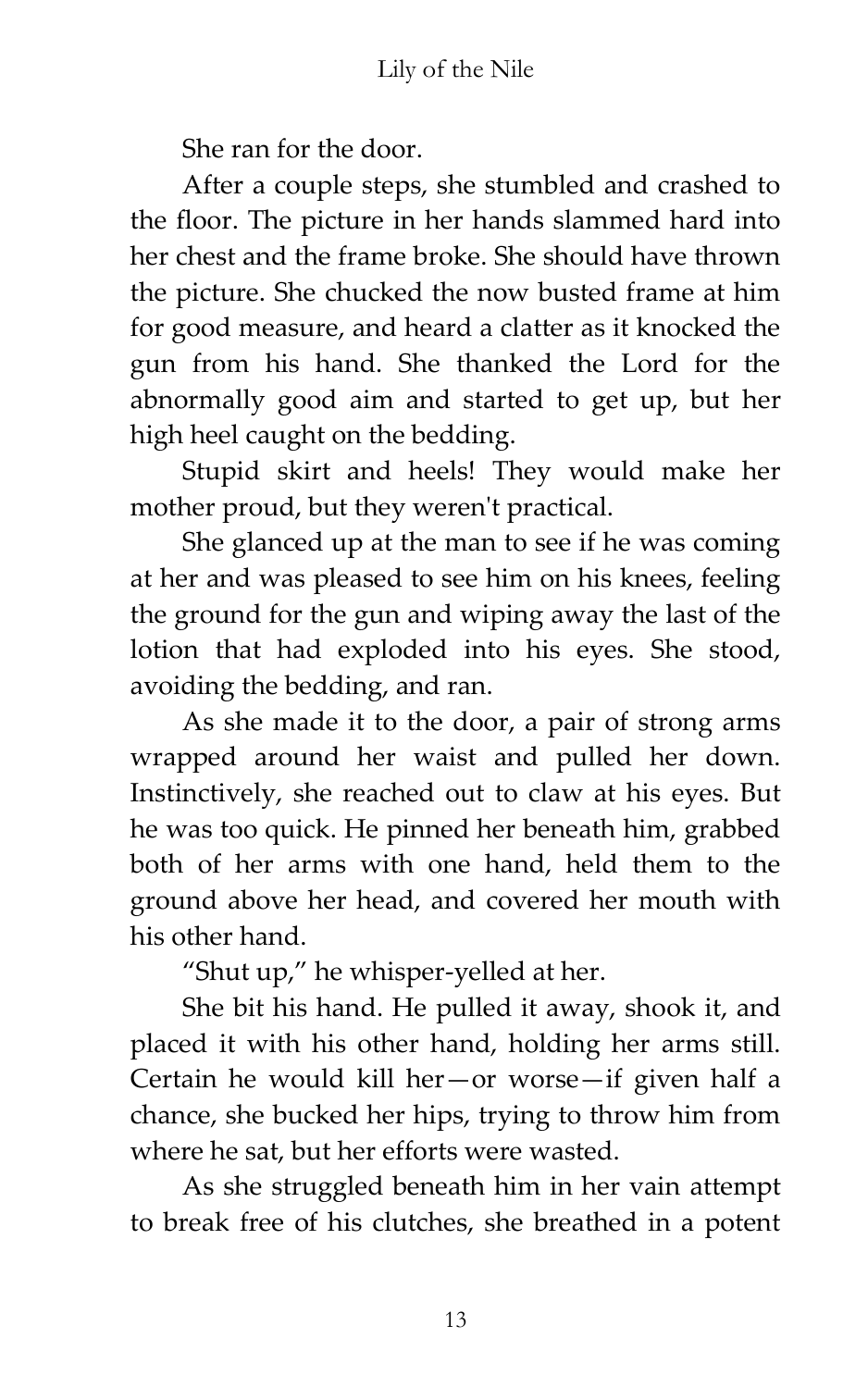She ran for the door.

After a couple steps, she stumbled and crashed to the floor. The picture in her hands slammed hard into her chest and the frame broke. She should have thrown the picture. She chucked the now busted frame at him for good measure, and heard a clatter as it knocked the gun from his hand. She thanked the Lord for the abnormally good aim and started to get up, but her high heel caught on the bedding.

Stupid skirt and heels! They would make her mother proud, but they weren't practical.

She glanced up at the man to see if he was coming at her and was pleased to see him on his knees, feeling the ground for the gun and wiping away the last of the lotion that had exploded into his eyes. She stood, avoiding the bedding, and ran.

As she made it to the door, a pair of strong arms wrapped around her waist and pulled her down. Instinctively, she reached out to claw at his eyes. But he was too quick. He pinned her beneath him, grabbed both of her arms with one hand, held them to the ground above her head, and covered her mouth with his other hand.

'Shut up,' he whisper-yelled at her.

She bit his hand. He pulled it away, shook it, and placed it with his other hand, holding her arms still. Certain he would kill her—or worse—if given half a chance, she bucked her hips, trying to throw him from where he sat, but her efforts were wasted.

As she struggled beneath him in her vain attempt to break free of his clutches, she breathed in a potent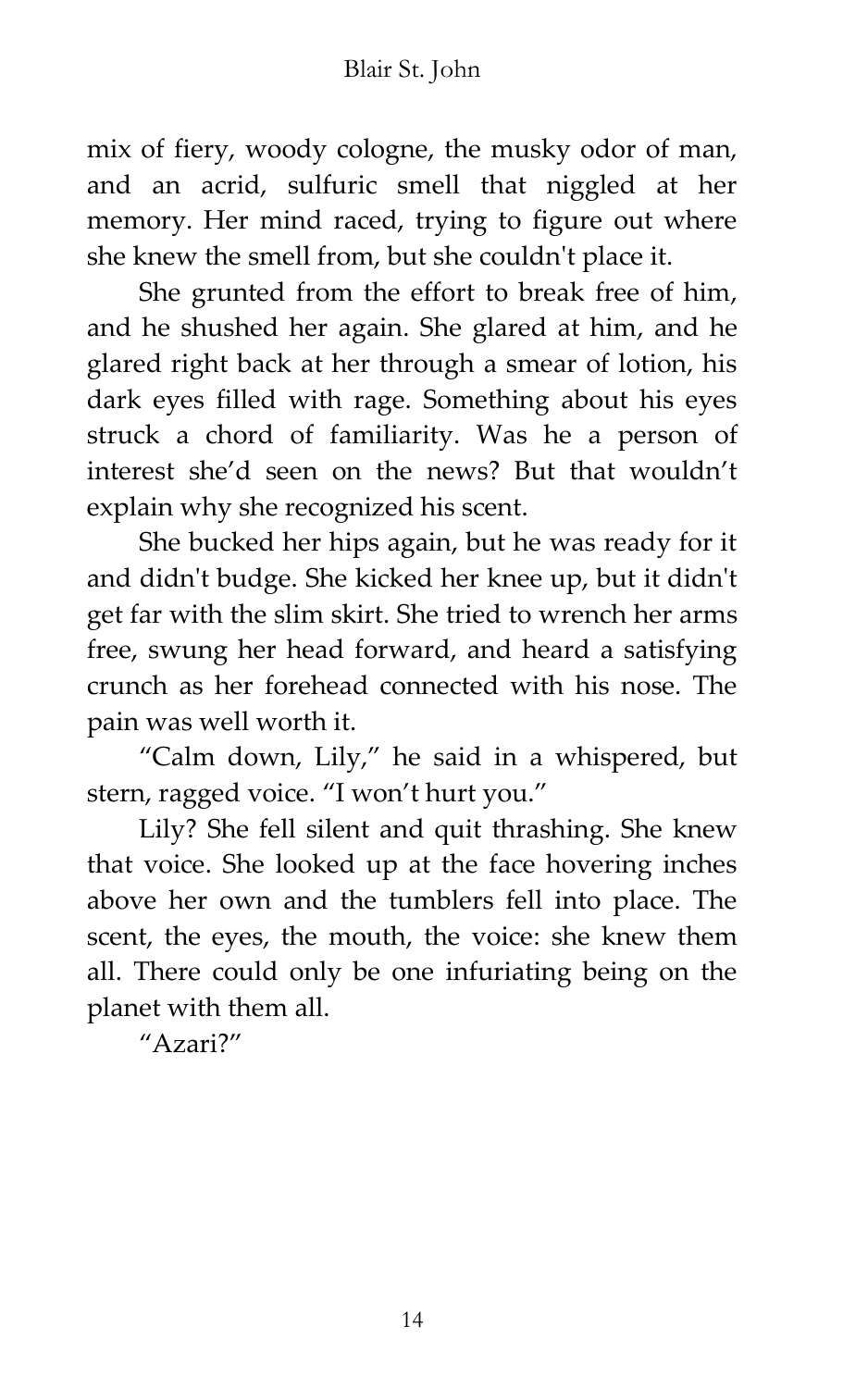mix of fiery, woody cologne, the musky odor of man, and an acrid, sulfuric smell that niggled at her memory. Her mind raced, trying to figure out where she knew the smell from, but she couldn't place it.

She grunted from the effort to break free of him, and he shushed her again. She glared at him, and he glared right back at her through a smear of lotion, his dark eyes filled with rage. Something about his eyes struck a chord of familiarity. Was he a person of interest she'd seen on the news? But that wouldn't explain why she recognized his scent.

She bucked her hips again, but he was ready for it and didn't budge. She kicked her knee up, but it didn't get far with the slim skirt. She tried to wrench her arms free, swung her head forward, and heard a satisfying crunch as her forehead connected with his nose. The pain was well worth it.

'Calm down, Lily,' he said in a whispered, but stern, ragged voice. 'I won't hurt you.'

Lily? She fell silent and quit thrashing. She knew that voice. She looked up at the face hovering inches above her own and the tumblers fell into place. The scent, the eyes, the mouth, the voice: she knew them all. There could only be one infuriating being on the planet with them all.

 $^{\prime\prime}$ Azari?"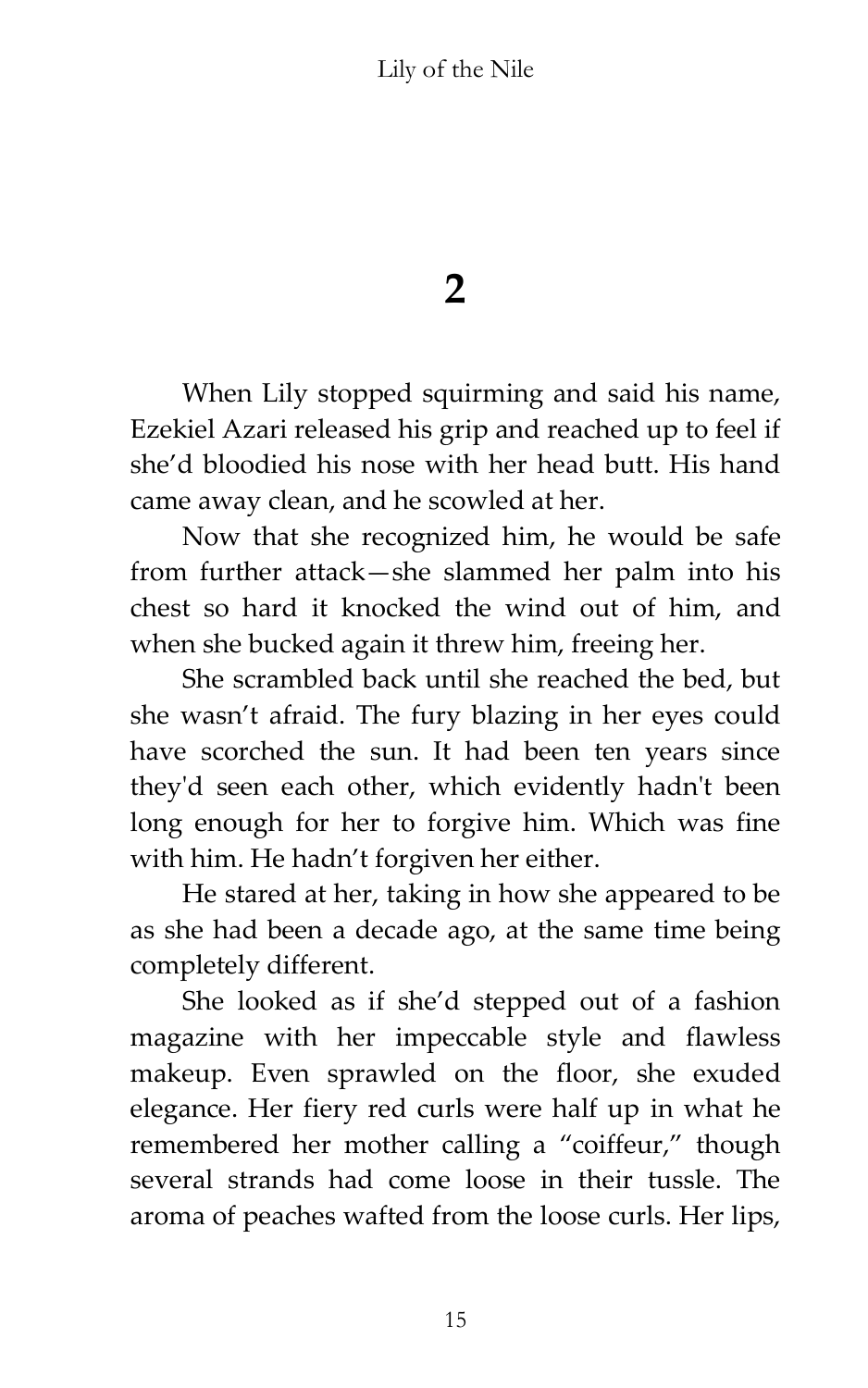**2**

When Lily stopped squirming and said his name, Ezekiel Azari released his grip and reached up to feel if she'd bloodied his nose with her head butt. His hand came away clean, and he scowled at her.

Now that she recognized him, he would be safe from further attack—she slammed her palm into his chest so hard it knocked the wind out of him, and when she bucked again it threw him, freeing her.

She scrambled back until she reached the bed, but she wasn't afraid. The fury blazing in her eyes could have scorched the sun. It had been ten years since they'd seen each other, which evidently hadn't been long enough for her to forgive him. Which was fine with him. He hadn't forgiven her either.

He stared at her, taking in how she appeared to be as she had been a decade ago, at the same time being completely different.

She looked as if she'd stepped out of a fashion magazine with her impeccable style and flawless makeup. Even sprawled on the floor, she exuded elegance. Her fiery red curls were half up in what he remembered her mother calling a "coiffeur," though several strands had come loose in their tussle. The aroma of peaches wafted from the loose curls. Her lips,

15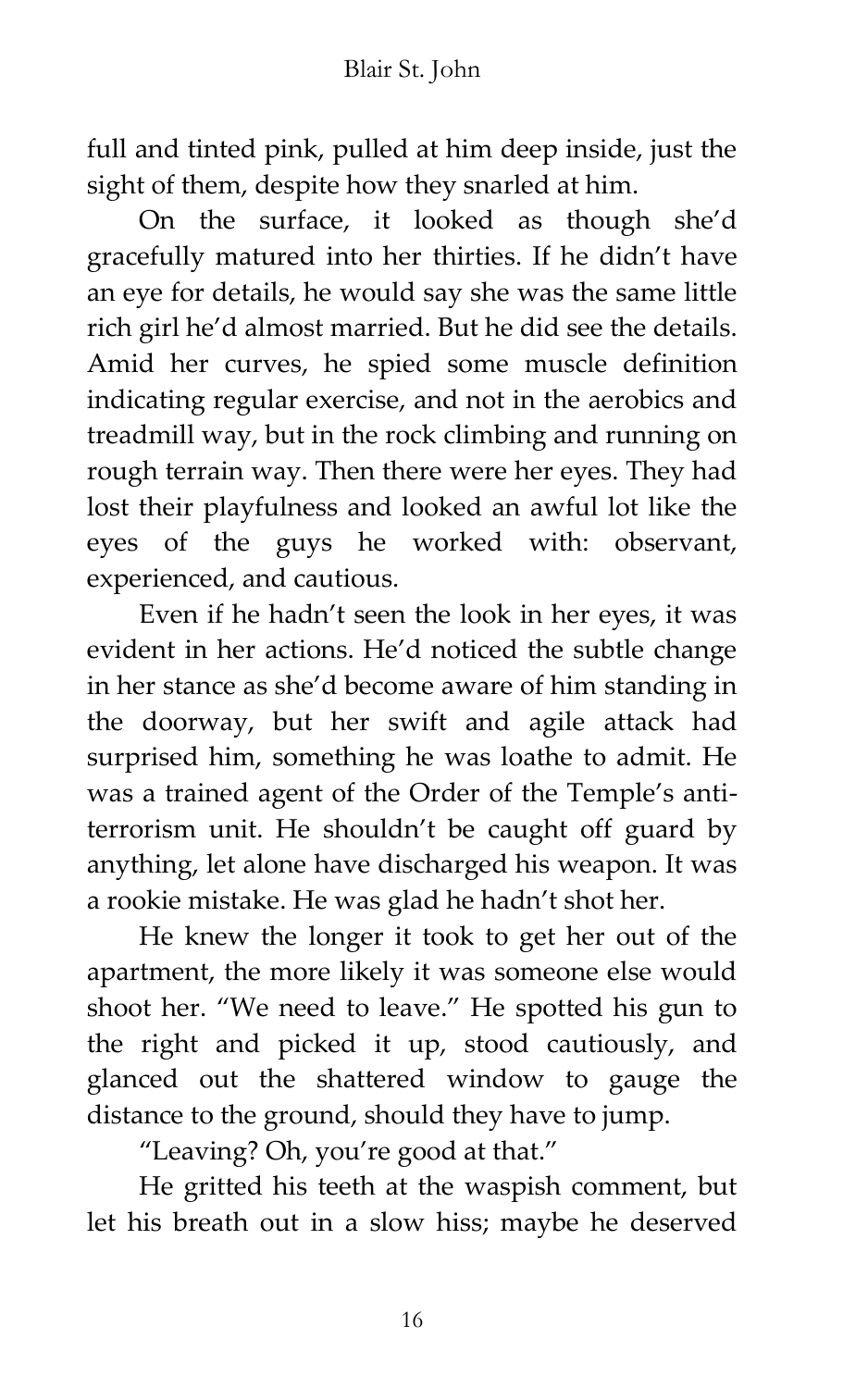full and tinted pink, pulled at him deep inside, just the sight of them, despite how they snarled at him.

On the surface, it looked as though she'd gracefully matured into her thirties. If he didn't have an eye for details, he would say she was the same little rich girl he'd almost married. But he did see the details. Amid her curves, he spied some muscle definition indicating regular exercise, and not in the aerobics and treadmill way, but in the rock climbing and running on rough terrain way. Then there were her eyes. They had lost their playfulness and looked an awful lot like the eyes of the guys he worked with: observant, experienced, and cautious.

Even if he hadn't seen the look in her eyes, it was evident in her actions. He'd noticed the subtle change in her stance as she'd become aware of him standing in the doorway, but her swift and agile attack had surprised him, something he was loathe to admit. He was a trained agent of the Order of the Temple's antiterrorism unit. He shouldn't be caught off guard by anything, let alone have discharged his weapon. It was a rookie mistake. He was glad he hadn't shot her.

He knew the longer it took to get her out of the apartment, the more likely it was someone else would shoot her. 'We need to leave.' He spotted his gun to the right and picked it up, stood cautiously, and glanced out the shattered window to gauge the distance to the ground, should they have to jump.

'Leaving? Oh, you're good at that.'

He gritted his teeth at the waspish comment, but let his breath out in a slow hiss; maybe he deserved